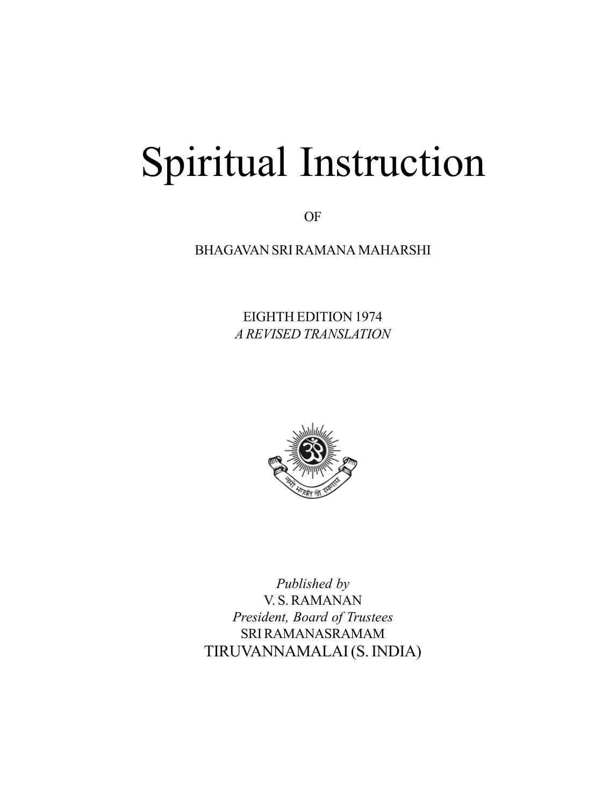# Spiritual Instruction

OF

BHAGAVAN SRI RAMANA MAHARSHI

EIGHTH EDITION 1974 *A REVISED TRANSLATION*



*Published by* V. S. RAMANAN *President, Board of Trustees* SRI RAMANASRAMAM TIRUVANNAMALAI (S. INDIA)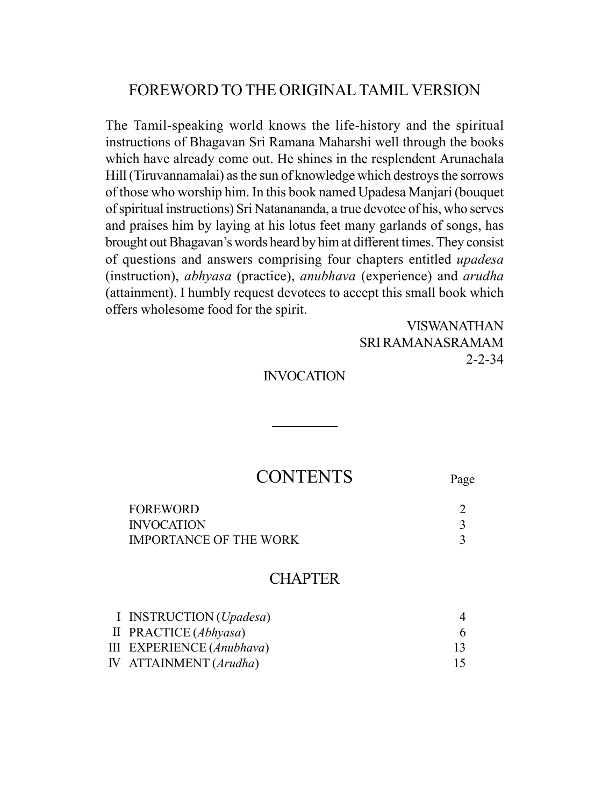# FOREWORD TO THE ORIGINAL TAMIL VERSION

The Tamil-speaking world knows the life-history and the spiritual instructions of Bhagavan Sri Ramana Maharshi well through the books which have already come out. He shines in the resplendent Arunachala Hill (Tiruvannamalai) as the sun of knowledge which destroys the sorrows of those who worship him. In this book named Upadesa Manjari (bouquet of spiritual instructions) Sri Natanananda, a true devotee of his, who serves and praises him by laying at his lotus feet many garlands of songs, has brought out Bhagavan's words heard by him at different times. They consist of questions and answers comprising four chapters entitled *upadesa* (instruction), *abhyasa* (practice), *anubhava* (experience) and *arudha* (attainment). I humbly request devotees to accept this small book which offers wholesome food for the spirit.

> VISWANATHAN SRI RAMANASRAMAM 2-2-34

> > Page

#### INVOCATION

# **CONTENTS**

**FOREWORD** INVOCATION IMPORTANCE OF THE WORK 2 3 3

#### **CHAPTER**

| I INSTRUCTION (Upadesa)   | 4  |
|---------------------------|----|
| II PRACTICE (Abhyasa)     | 6  |
| III EXPERIENCE (Anubhava) | 13 |
| IV ATTAINMENT (Arudha)    | 15 |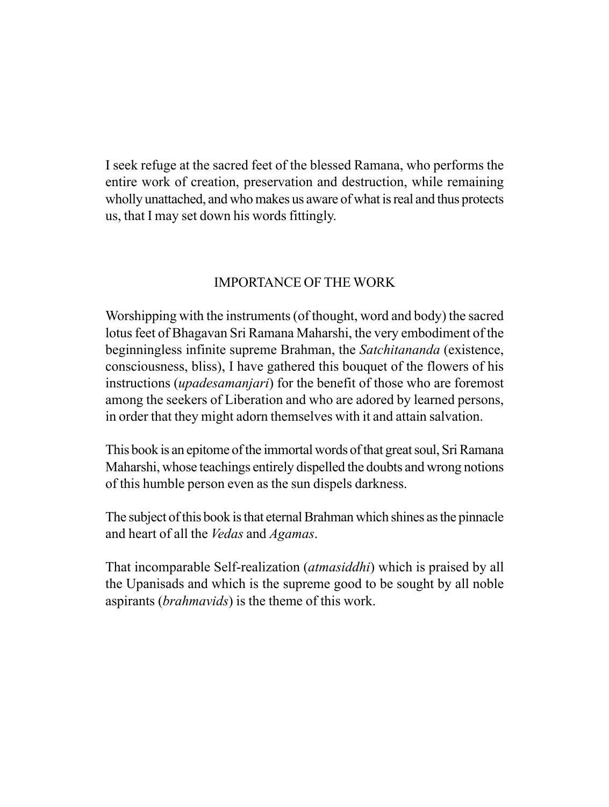I seek refuge at the sacred feet of the blessed Ramana, who performs the entire work of creation, preservation and destruction, while remaining wholly unattached, and who makes us aware of what is real and thus protects us, that I may set down his words fittingly.

## IMPORTANCE OF THE WORK

Worshipping with the instruments (of thought, word and body) the sacred lotus feet of Bhagavan Sri Ramana Maharshi, the very embodiment of the beginningless infinite supreme Brahman, the *Satchitananda* (existence, consciousness, bliss), I have gathered this bouquet of the flowers of his instructions (*upadesamanjari*) for the benefit of those who are foremost among the seekers of Liberation and who are adored by learned persons, in order that they might adorn themselves with it and attain salvation.

This book is an epitome of the immortal words of that great soul, Sri Ramana Maharshi, whose teachings entirely dispelled the doubts and wrong notions of this humble person even as the sun dispels darkness.

The subject of this book is that eternal Brahman which shines as the pinnacle and heart of all the *Vedas* and *Agamas*.

That incomparable Self-realization (*atmasiddhi*) which is praised by all the Upanisads and which is the supreme good to be sought by all noble aspirants (*brahmavids*) is the theme of this work.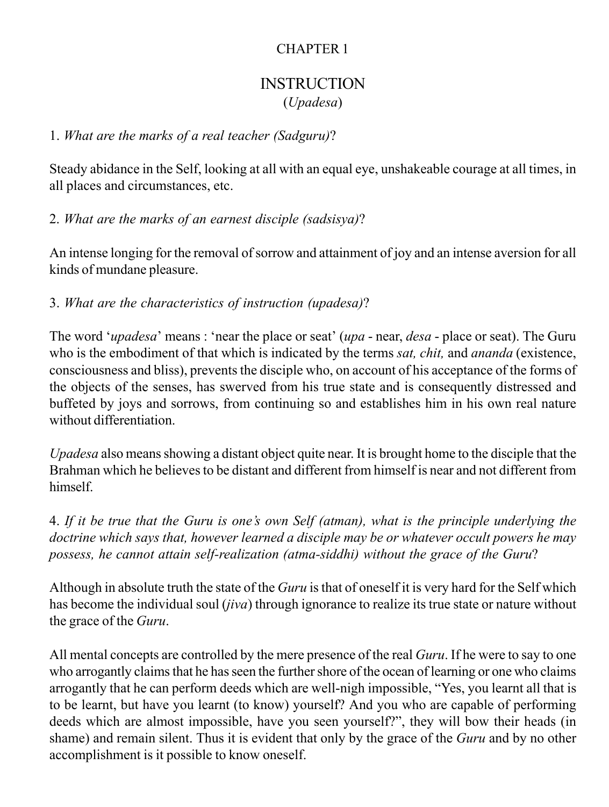# CHAPTER 1

# **INSTRUCTION** (*Upadesa*)

#### 1. *What are the marks of a real teacher (Sadguru)*?

Steady abidance in the Self, looking at all with an equal eye, unshakeable courage at all times, in all places and circumstances, etc.

2. *What are the marks of an earnest disciple (sadsisya)*?

An intense longing for the removal of sorrow and attainment of joy and an intense aversion for all kinds of mundane pleasure.

3. *What are the characteristics of instruction (upadesa)*?

The word '*upadesa*' means : 'near the place or seat' (*upa* - near, *desa* - place or seat). The Guru who is the embodiment of that which is indicated by the terms *sat, chit,* and *ananda* (existence, consciousness and bliss), prevents the disciple who, on account of his acceptance of the forms of the objects of the senses, has swerved from his true state and is consequently distressed and buffeted by joys and sorrows, from continuing so and establishes him in his own real nature without differentiation.

*Upadesa* also means showing a distant object quite near. It is brought home to the disciple that the Brahman which he believes to be distant and different from himself is near and not different from himself.

4. *If it be true that the Guru is one's own Self (atman), what is the principle underlying the doctrine which says that, however learned a disciple may be or whatever occult powers he may possess, he cannot attain self-realization (atma-siddhi) without the grace of the Guru*?

Although in absolute truth the state of the *Guru* is that of oneself it is very hard for the Self which has become the individual soul (*jiva*) through ignorance to realize its true state or nature without the grace of the *Guru*.

All mental concepts are controlled by the mere presence of the real *Guru*. If he were to say to one who arrogantly claims that he has seen the further shore of the ocean of learning or one who claims arrogantly that he can perform deeds which are well-nigh impossible, "Yes, you learnt all that is to be learnt, but have you learnt (to know) yourself? And you who are capable of performing deeds which are almost impossible, have you seen yourself?", they will bow their heads (in shame) and remain silent. Thus it is evident that only by the grace of the *Guru* and by no other accomplishment is it possible to know oneself.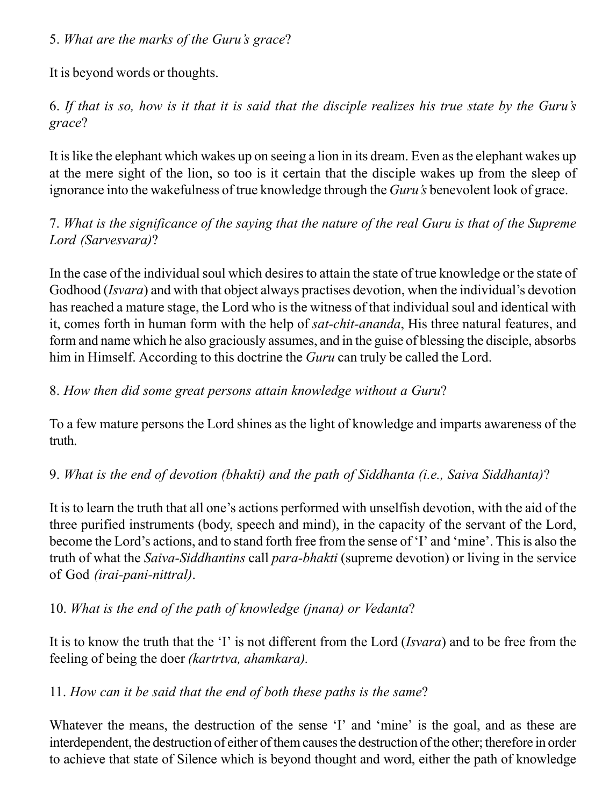#### 5. *What are the marks of the Guru's grace*?

It is beyond words or thoughts.

6. *If that is so, how is it that it is said that the disciple realizes his true state by the Guru's grace*?

It is like the elephant which wakes up on seeing a lion in its dream. Even as the elephant wakes up at the mere sight of the lion, so too is it certain that the disciple wakes up from the sleep of ignorance into the wakefulness of true knowledge through the *Guru's* benevolent look of grace.

# 7. *What is the significance of the saying that the nature of the real Guru is that of the Supreme Lord (Sarvesvara)*?

In the case of the individual soul which desires to attain the state of true knowledge or the state of Godhood (*Isvara*) and with that object always practises devotion, when the individual's devotion has reached a mature stage, the Lord who is the witness of that individual soul and identical with it, comes forth in human form with the help of *sat-chit-ananda*, His three natural features, and form and name which he also graciously assumes, and in the guise of blessing the disciple, absorbs him in Himself. According to this doctrine the *Guru* can truly be called the Lord.

# 8. *How then did some great persons attain knowledge without a Guru*?

To a few mature persons the Lord shines as the light of knowledge and imparts awareness of the truth.

## 9. *What is the end of devotion (bhakti) and the path of Siddhanta (i.e., Saiva Siddhanta)*?

It is to learn the truth that all one's actions performed with unselfish devotion, with the aid of the three purified instruments (body, speech and mind), in the capacity of the servant of the Lord, become the Lord's actions, and to stand forth free from the sense of 'I' and 'mine'. This is also the truth of what the *Saiva-Siddhantins* call *para-bhakti* (supreme devotion) or living in the service of God *(irai-pani-nittral)*.

10. *What is the end of the path of knowledge (jnana) or Vedanta*?

It is to know the truth that the 'I' is not different from the Lord (*Isvara*) and to be free from the feeling of being the doer *(kartrtva, ahamkara).*

# 11. *How can it be said that the end of both these paths is the same*?

Whatever the means, the destruction of the sense 'I' and 'mine' is the goal, and as these are interdependent, the destruction of either of them causes the destruction of the other; therefore in order to achieve that state of Silence which is beyond thought and word, either the path of knowledge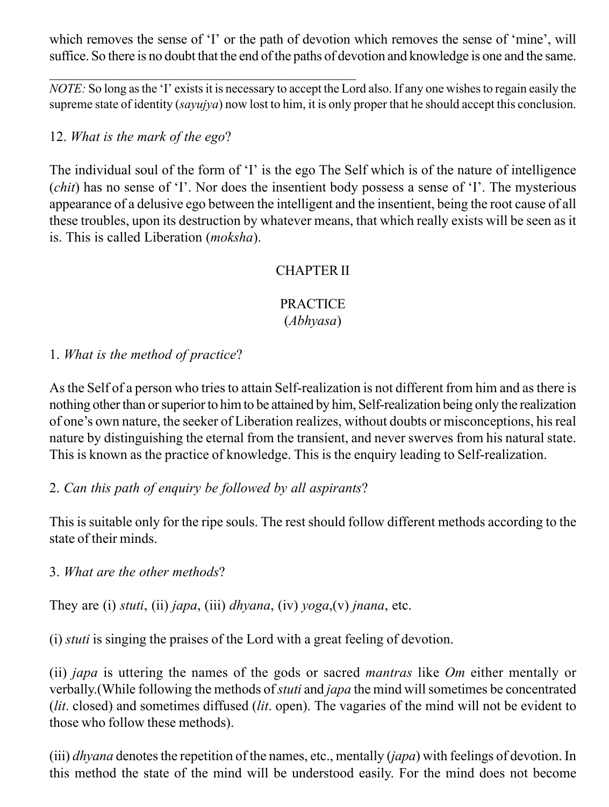which removes the sense of 'I' or the path of devotion which removes the sense of 'mine', will suffice. So there is no doubt that the end of the paths of devotion and knowledge is one and the same.

*NOTE:* So long as the 'I' exists it is necessary to accept the Lord also. If any one wishes to regain easily the supreme state of identity (*sayujya*) now lost to him, it is only proper that he should accept this conclusion.

#### 12. *What is the mark of the ego*?

 $\mathcal{L}_\text{max}$  , and the set of the set of the set of the set of the set of the set of the set of the set of the set of the set of the set of the set of the set of the set of the set of the set of the set of the set of the

The individual soul of the form of 'I' is the ego The Self which is of the nature of intelligence (*chit*) has no sense of 'I'. Nor does the insentient body possess a sense of 'I'. The mysterious appearance of a delusive ego between the intelligent and the insentient, being the root cause of all these troubles, upon its destruction by whatever means, that which really exists will be seen as it is. This is called Liberation (*moksha*).

#### CHAPTER II

## **PRACTICE** (*Abhyasa*)

#### 1. *What is the method of practice*?

As the Self of a person who tries to attain Self-realization is not different from him and as there is nothing other than or superior to him to be attained by him, Self-realization being only the realization of one's own nature, the seeker of Liberation realizes, without doubts or misconceptions, his real nature by distinguishing the eternal from the transient, and never swerves from his natural state. This is known as the practice of knowledge. This is the enquiry leading to Self-realization.

## 2. *Can this path of enquiry be followed by all aspirants*?

This is suitable only for the ripe souls. The rest should follow different methods according to the state of their minds.

#### 3. *What are the other methods*?

They are (i) *stuti*, (ii) *japa*, (iii) *dhyana*, (iv) *yoga*,(v) *jnana*, etc.

(i) *stuti* is singing the praises of the Lord with a great feeling of devotion.

(ii) *japa* is uttering the names of the gods or sacred *mantras* like *Om* either mentally or verbally.(While following the methods of *stuti* and *japa* the mind will sometimes be concentrated (*lit*. closed) and sometimes diffused (*lit*. open). The vagaries of the mind will not be evident to those who follow these methods).

(iii) *dhyana* denotes the repetition of the names, etc., mentally (*japa*) with feelings of devotion. In this method the state of the mind will be understood easily. For the mind does not become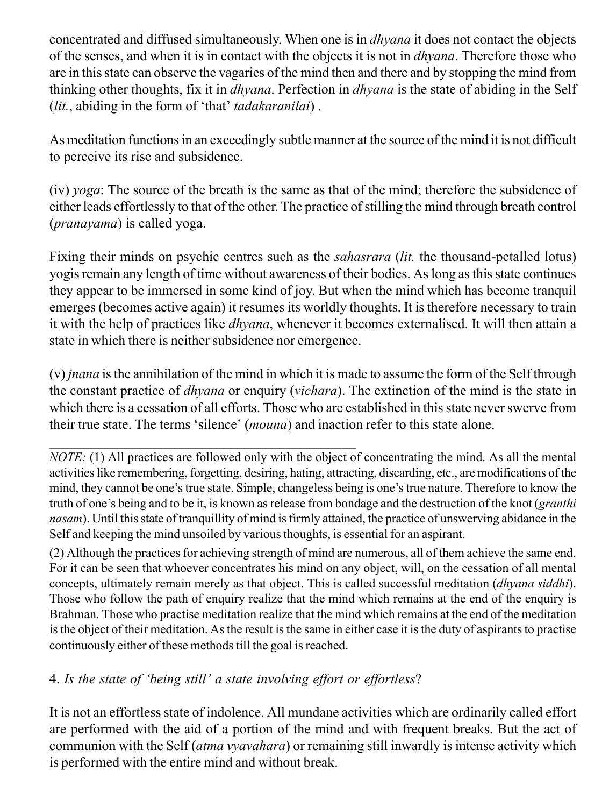concentrated and diffused simultaneously. When one is in *dhyana* it does not contact the objects of the senses, and when it is in contact with the objects it is not in *dhyana*. Therefore those who are in this state can observe the vagaries of the mind then and there and by stopping the mind from thinking other thoughts, fix it in *dhyana*. Perfection in *dhyana* is the state of abiding in the Self (*lit.*, abiding in the form of 'that' *tadakaranilai*) .

As meditation functions in an exceedingly subtle manner at the source of the mind it is not difficult to perceive its rise and subsidence.

(iv) *yoga*: The source of the breath is the same as that of the mind; therefore the subsidence of either leads effortlessly to that of the other. The practice of stilling the mind through breath control (*pranayama*) is called yoga.

Fixing their minds on psychic centres such as the *sahasrara* (*lit.* the thousand-petalled lotus) yogis remain any length of time without awareness of their bodies. As long as this state continues they appear to be immersed in some kind of joy. But when the mind which has become tranquil emerges (becomes active again) it resumes its worldly thoughts. It is therefore necessary to train it with the help of practices like *dhyana*, whenever it becomes externalised. It will then attain a state in which there is neither subsidence nor emergence.

(v) *jnana* is the annihilation of the mind in which it is made to assume the form of the Self through the constant practice of *dhyana* or enquiry (*vichara*). The extinction of the mind is the state in which there is a cessation of all efforts. Those who are established in this state never swerve from their true state. The terms 'silence' (*mouna*) and inaction refer to this state alone.

*NOTE:* (1) All practices are followed only with the object of concentrating the mind. As all the mental activities like remembering, forgetting, desiring, hating, attracting, discarding, etc., are modifications of the mind, they cannot be one's true state. Simple, changeless being is one's true nature. Therefore to know the truth of one's being and to be it, is known as release from bondage and the destruction of the knot (*granthi nasam*). Until this state of tranquillity of mind is firmly attained, the practice of unswerving abidance in the Self and keeping the mind unsoiled by various thoughts, is essential for an aspirant.

(2) Although the practices for achieving strength of mind are numerous, all of them achieve the same end. For it can be seen that whoever concentrates his mind on any object, will, on the cessation of all mental concepts, ultimately remain merely as that object. This is called successful meditation (*dhyana siddhi*). Those who follow the path of enquiry realize that the mind which remains at the end of the enquiry is Brahman. Those who practise meditation realize that the mind which remains at the end of the meditation is the object of their meditation. As the result is the same in either case it is the duty of aspirants to practise continuously either of these methods till the goal is reached.

# 4. *Is the state of 'being still' a state involving effort or effortless*?

 $\mathcal{L}_\text{max}$  , and the set of the set of the set of the set of the set of the set of the set of the set of the set of the set of the set of the set of the set of the set of the set of the set of the set of the set of the

It is not an effortless state of indolence. All mundane activities which are ordinarily called effort are performed with the aid of a portion of the mind and with frequent breaks. But the act of communion with the Self (*atma vyavahara*) or remaining still inwardly is intense activity which is performed with the entire mind and without break.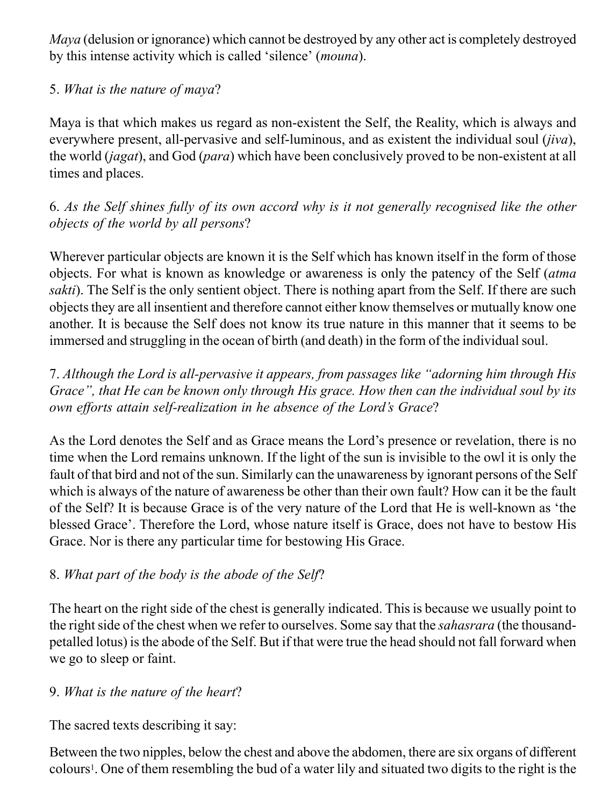*Maya* (delusion or ignorance) which cannot be destroyed by any other act is completely destroyed by this intense activity which is called 'silence' (*mouna*).

# 5. *What is the nature of maya*?

Maya is that which makes us regard as non-existent the Self, the Reality, which is always and everywhere present, all-pervasive and self-luminous, and as existent the individual soul (*jiva*), the world (*jagat*), and God (*para*) which have been conclusively proved to be non-existent at all times and places.

# 6. *As the Self shines fully of its own accord why is it not generally recognised like the other objects of the world by all persons*?

Wherever particular objects are known it is the Self which has known itself in the form of those objects. For what is known as knowledge or awareness is only the patency of the Self (*atma sakti*). The Self is the only sentient object. There is nothing apart from the Self. If there are such objects they are all insentient and therefore cannot either know themselves or mutually know one another. It is because the Self does not know its true nature in this manner that it seems to be immersed and struggling in the ocean of birth (and death) in the form of the individual soul.

7. *Although the Lord is all-pervasive it appears, from passages like "adorning him through His Grace", that He can be known only through His grace. How then can the individual soul by its own efforts attain self-realization in he absence of the Lord's Grace*?

As the Lord denotes the Self and as Grace means the Lord's presence or revelation, there is no time when the Lord remains unknown. If the light of the sun is invisible to the owl it is only the fault of that bird and not of the sun. Similarly can the unawareness by ignorant persons of the Self which is always of the nature of awareness be other than their own fault? How can it be the fault of the Self? It is because Grace is of the very nature of the Lord that He is well-known as 'the blessed Grace'. Therefore the Lord, whose nature itself is Grace, does not have to bestow His Grace. Nor is there any particular time for bestowing His Grace.

# 8. *What part of the body is the abode of the Self*?

The heart on the right side of the chest is generally indicated. This is because we usually point to the right side of the chest when we refer to ourselves. Some say that the *sahasrara* (the thousandpetalled lotus) is the abode of the Self. But if that were true the head should not fall forward when we go to sleep or faint.

# 9. *What is the nature of the heart*?

The sacred texts describing it say:

Between the two nipples, below the chest and above the abdomen, there are six organs of different colours1. One of them resembling the bud of a water lily and situated two digits to the right is the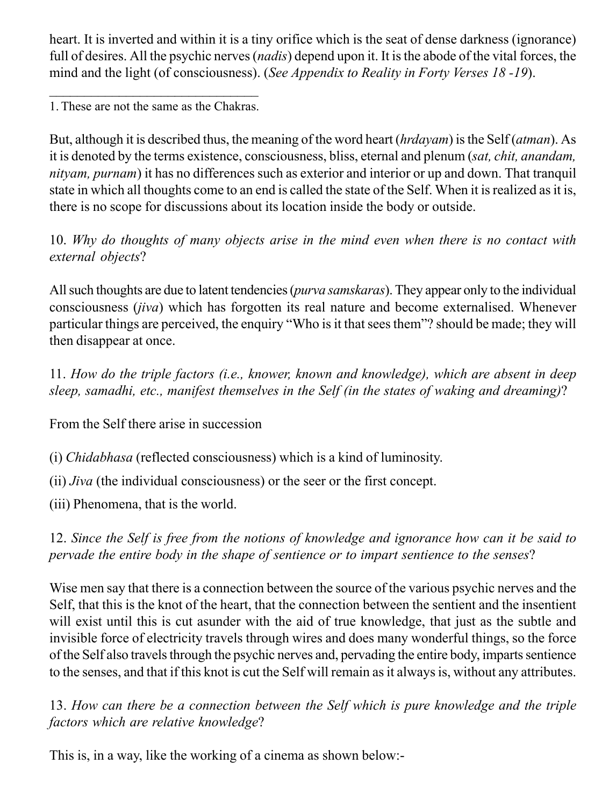heart. It is inverted and within it is a tiny orifice which is the seat of dense darkness (ignorance) full of desires. All the psychic nerves (*nadis*) depend upon it. It is the abode of the vital forces, the mind and the light (of consciousness). (*See Appendix to Reality in Forty Verses 18 -19*).

 $\mathcal{L}_\text{max}$  , where  $\mathcal{L}_\text{max}$  and  $\mathcal{L}_\text{max}$  and  $\mathcal{L}_\text{max}$ 1. These are not the same as the Chakras.

But, although it is described thus, the meaning of the word heart (*hrdayam*) is the Self (*atman*). As it is denoted by the terms existence, consciousness, bliss, eternal and plenum (*sat, chit, anandam, nityam, purnam*) it has no differences such as exterior and interior or up and down. That tranquil state in which all thoughts come to an end is called the state of the Self. When it is realized as it is, there is no scope for discussions about its location inside the body or outside.

10. *Why do thoughts of many objects arise in the mind even when there is no contact with external objects*?

All such thoughts are due to latent tendencies (*purva samskaras*). They appear only to the individual consciousness (*jiva*) which has forgotten its real nature and become externalised. Whenever particular things are perceived, the enquiry "Who is it that sees them"? should be made; they will then disappear at once.

11. *How do the triple factors (i.e., knower, known and knowledge), which are absent in deep sleep, samadhi, etc., manifest themselves in the Self (in the states of waking and dreaming)*?

From the Self there arise in succession

(i) *Chidabhasa* (reflected consciousness) which is a kind of luminosity.

(ii) *Jiva* (the individual consciousness) or the seer or the first concept.

(iii) Phenomena, that is the world.

12. *Since the Self is free from the notions of knowledge and ignorance how can it be said to pervade the entire body in the shape of sentience or to impart sentience to the senses*?

Wise men say that there is a connection between the source of the various psychic nerves and the Self, that this is the knot of the heart, that the connection between the sentient and the insentient will exist until this is cut asunder with the aid of true knowledge, that just as the subtle and invisible force of electricity travels through wires and does many wonderful things, so the force of the Self also travels through the psychic nerves and, pervading the entire body, imparts sentience to the senses, and that if this knot is cut the Self will remain as it always is, without any attributes.

13. *How can there be a connection between the Self which is pure knowledge and the triple factors which are relative knowledge*?

This is, in a way, like the working of a cinema as shown below:-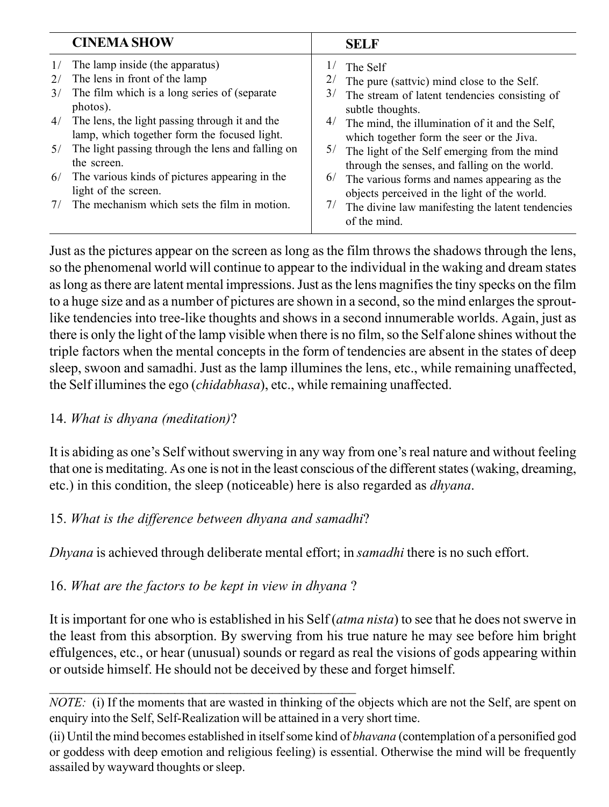|                                                   | <b>CINEMA SHOW</b>                                                                                                                                                                                                                                                                                                                                                                                                            |                                                                  | <b>SELF</b>                                                                                                                                                                                                                                                                                                                                                                                                                                                                     |
|---------------------------------------------------|-------------------------------------------------------------------------------------------------------------------------------------------------------------------------------------------------------------------------------------------------------------------------------------------------------------------------------------------------------------------------------------------------------------------------------|------------------------------------------------------------------|---------------------------------------------------------------------------------------------------------------------------------------------------------------------------------------------------------------------------------------------------------------------------------------------------------------------------------------------------------------------------------------------------------------------------------------------------------------------------------|
| 1/<br>2/<br>$\frac{3}{2}$<br>4/<br>5/<br>6/<br>7/ | The lamp inside (the apparatus)<br>The lens in front of the lamp<br>The film which is a long series of (separate)<br>photos).<br>The lens, the light passing through it and the<br>lamp, which together form the focused light.<br>The light passing through the lens and falling on<br>the screen.<br>The various kinds of pictures appearing in the<br>light of the screen.<br>The mechanism which sets the film in motion. | $\mathfrak{2}_{\mathfrak{l}}$<br>$\frac{3}{ }$<br>4/<br>5/<br>6/ | The Self<br>The pure (sattvic) mind close to the Self.<br>The stream of latent tendencies consisting of<br>subtle thoughts.<br>The mind, the illumination of it and the Self,<br>which together form the seer or the Jiva.<br>The light of the Self emerging from the mind<br>through the senses, and falling on the world.<br>The various forms and names appearing as the<br>objects perceived in the light of the world.<br>The divine law manifesting the latent tendencies |
|                                                   |                                                                                                                                                                                                                                                                                                                                                                                                                               |                                                                  | of the mind.                                                                                                                                                                                                                                                                                                                                                                                                                                                                    |

Just as the pictures appear on the screen as long as the film throws the shadows through the lens, so the phenomenal world will continue to appear to the individual in the waking and dream states as long as there are latent mental impressions. Just as the lens magnifies the tiny specks on the film to a huge size and as a number of pictures are shown in a second, so the mind enlarges the sproutlike tendencies into tree-like thoughts and shows in a second innumerable worlds. Again, just as there is only the light of the lamp visible when there is no film, so the Self alone shines without the triple factors when the mental concepts in the form of tendencies are absent in the states of deep sleep, swoon and samadhi. Just as the lamp illumines the lens, etc., while remaining unaffected, the Self illumines the ego (*chidabhasa*), etc., while remaining unaffected.

## 14. *What is dhyana (meditation)*?

It is abiding as one's Self without swerving in any way from one's real nature and without feeling that one is meditating. As one is not in the least conscious of the different states (waking, dreaming, etc.) in this condition, the sleep (noticeable) here is also regarded as *dhyana*.

## 15. *What is the difference between dhyana and samadhi*?

*Dhyana* is achieved through deliberate mental effort; in *samadhi* there is no such effort.

## 16. *What are the factors to be kept in view in dhyana* ?

 $\mathcal{L}_\text{max}$  , and the set of the set of the set of the set of the set of the set of the set of the set of the set of the set of the set of the set of the set of the set of the set of the set of the set of the set of the

It is important for one who is established in his Self (*atma nista*) to see that he does not swerve in the least from this absorption. By swerving from his true nature he may see before him bright effulgences, etc., or hear (unusual) sounds or regard as real the visions of gods appearing within or outside himself. He should not be deceived by these and forget himself.

(ii) Until the mind becomes established in itself some kind of *bhavana* (contemplation of a personified god or goddess with deep emotion and religious feeling) is essential. Otherwise the mind will be frequently assailed by wayward thoughts or sleep.

*NOTE:* (i) If the moments that are wasted in thinking of the objects which are not the Self, are spent on enquiry into the Self, Self-Realization will be attained in a very short time.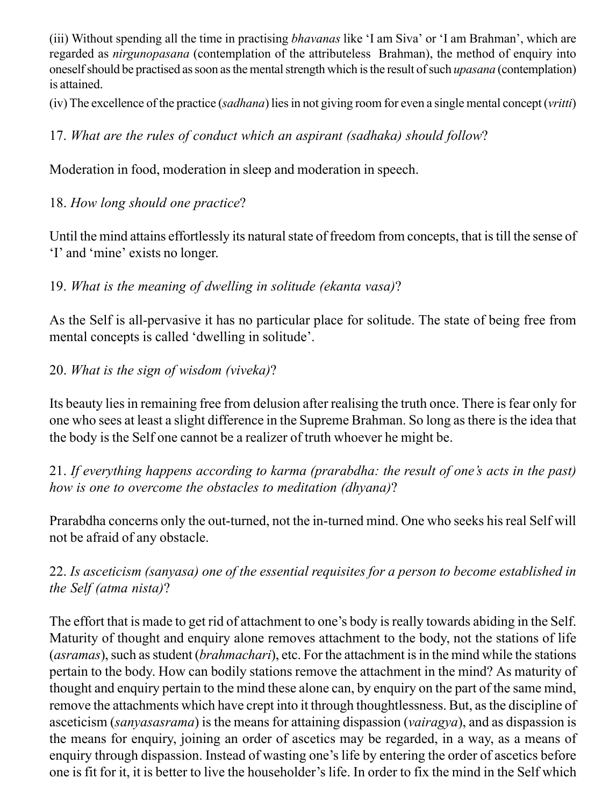(iii) Without spending all the time in practising *bhavanas* like 'I am Siva' or 'I am Brahman', which are regarded as *nirgunopasana* (contemplation of the attributeless Brahman), the method of enquiry into oneself should be practised as soon as the mental strength which is the result of such *upasana* (contemplation) is attained.

(iv) The excellence of the practice (*sadhana*) lies in not giving room for even a single mental concept (*vritti*)

# 17. *What are the rules of conduct which an aspirant (sadhaka) should follow*?

Moderation in food, moderation in sleep and moderation in speech.

# 18. *How long should one practice*?

Until the mind attains effortlessly its natural state of freedom from concepts, that is till the sense of 'I' and 'mine' exists no longer.

# 19. *What is the meaning of dwelling in solitude (ekanta vasa)*?

As the Self is all-pervasive it has no particular place for solitude. The state of being free from mental concepts is called 'dwelling in solitude'.

# 20. *What is the sign of wisdom (viveka)*?

Its beauty lies in remaining free from delusion after realising the truth once. There is fear only for one who sees at least a slight difference in the Supreme Brahman. So long as there is the idea that the body is the Self one cannot be a realizer of truth whoever he might be.

21. *If everything happens according to karma (prarabdha: the result of one's acts in the past) how is one to overcome the obstacles to meditation (dhyana)*?

Prarabdha concerns only the out-turned, not the in-turned mind. One who seeks his real Self will not be afraid of any obstacle.

# 22. *Is asceticism (sanyasa) one of the essential requisites for a person to become established in the Self (atma nista)*?

The effort that is made to get rid of attachment to one's body is really towards abiding in the Self. Maturity of thought and enquiry alone removes attachment to the body, not the stations of life (*asramas*), such as student (*brahmachari*), etc. For the attachment is in the mind while the stations pertain to the body. How can bodily stations remove the attachment in the mind? As maturity of thought and enquiry pertain to the mind these alone can, by enquiry on the part of the same mind, remove the attachments which have crept into it through thoughtlessness. But, as the discipline of asceticism (*sanyasasrama*) is the means for attaining dispassion (*vairagya*), and as dispassion is the means for enquiry, joining an order of ascetics may be regarded, in a way, as a means of enquiry through dispassion. Instead of wasting one's life by entering the order of ascetics before one is fit for it, it is better to live the householder's life. In order to fix the mind in the Self which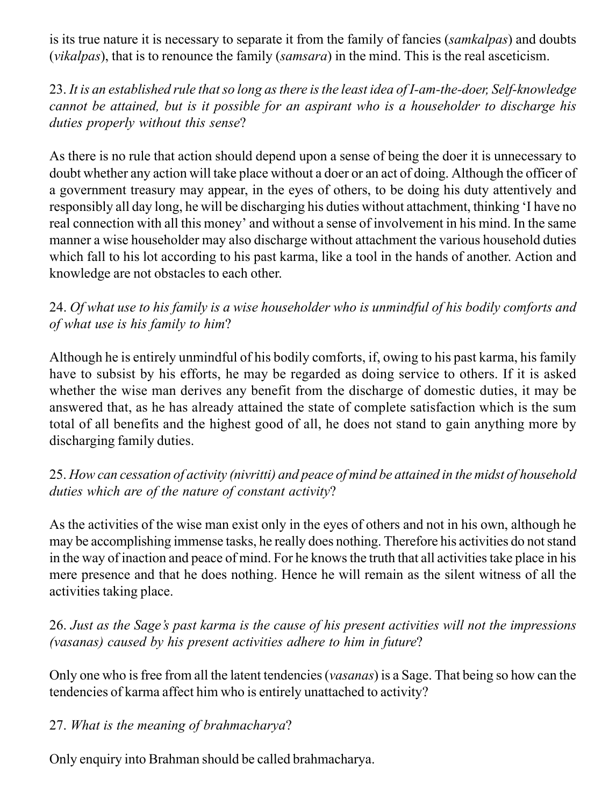is its true nature it is necessary to separate it from the family of fancies (*samkalpas*) and doubts (*vikalpas*), that is to renounce the family (*samsara*) in the mind. This is the real asceticism.

# 23. *It is an established rule that so long as there is the least idea of I-am-the-doer, Self-knowledge cannot be attained, but is it possible for an aspirant who is a householder to discharge his duties properly without this sense*?

As there is no rule that action should depend upon a sense of being the doer it is unnecessary to doubt whether any action will take place without a doer or an act of doing. Although the officer of a government treasury may appear, in the eyes of others, to be doing his duty attentively and responsibly all day long, he will be discharging his duties without attachment, thinking 'I have no real connection with all this money' and without a sense of involvement in his mind. In the same manner a wise householder may also discharge without attachment the various household duties which fall to his lot according to his past karma, like a tool in the hands of another. Action and knowledge are not obstacles to each other.

# 24. *Of what use to his family is a wise householder who is unmindful of his bodily comforts and of what use is his family to him*?

Although he is entirely unmindful of his bodily comforts, if, owing to his past karma, his family have to subsist by his efforts, he may be regarded as doing service to others. If it is asked whether the wise man derives any benefit from the discharge of domestic duties, it may be answered that, as he has already attained the state of complete satisfaction which is the sum total of all benefits and the highest good of all, he does not stand to gain anything more by discharging family duties.

# 25. *How can cessation of activity (nivritti) and peace of mind be attained in the midst of household duties which are of the nature of constant activity*?

As the activities of the wise man exist only in the eyes of others and not in his own, although he may be accomplishing immense tasks, he really does nothing. Therefore his activities do not stand in the way of inaction and peace of mind. For he knows the truth that all activities take place in his mere presence and that he does nothing. Hence he will remain as the silent witness of all the activities taking place.

26. *Just as the Sage's past karma is the cause of his present activities will not the impressions (vasanas) caused by his present activities adhere to him in future*?

Only one who is free from all the latent tendencies (*vasanas*) is a Sage. That being so how can the tendencies of karma affect him who is entirely unattached to activity?

## 27. *What is the meaning of brahmacharya*?

Only enquiry into Brahman should be called brahmacharya.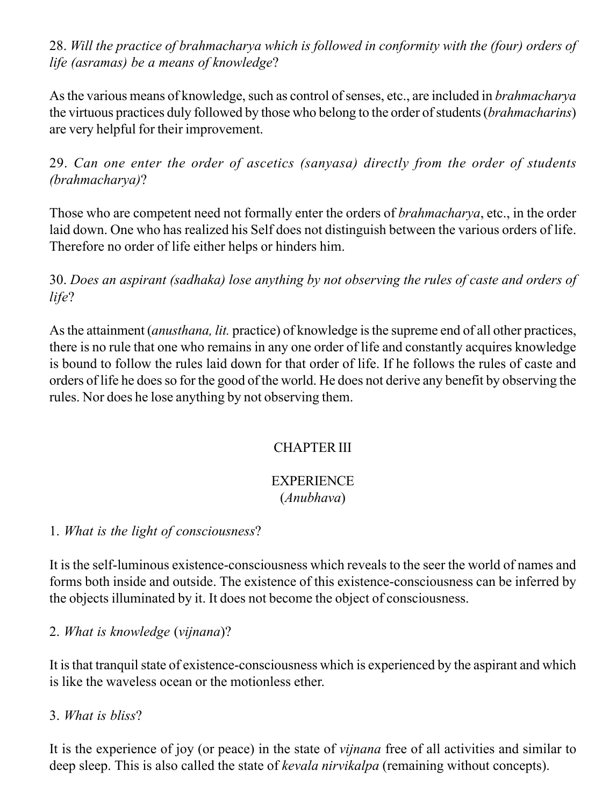28. *Will the practice of brahmacharya which is followed in conformity with the (four) orders of life (asramas) be a means of knowledge*?

As the various means of knowledge, such as control of senses, etc., are included in *brahmacharya* the virtuous practices duly followed by those who belong to the order of students (*brahmacharins*) are very helpful for their improvement.

29. *Can one enter the order of ascetics (sanyasa) directly from the order of students (brahmacharya)*?

Those who are competent need not formally enter the orders of *brahmacharya*, etc., in the order laid down. One who has realized his Self does not distinguish between the various orders of life. Therefore no order of life either helps or hinders him.

30. *Does an aspirant (sadhaka) lose anything by not observing the rules of caste and orders of life*?

As the attainment (*anusthana, lit.* practice) of knowledge is the supreme end of all other practices, there is no rule that one who remains in any one order of life and constantly acquires knowledge is bound to follow the rules laid down for that order of life. If he follows the rules of caste and orders of life he does so for the good of the world. He does not derive any benefit by observing the rules. Nor does he lose anything by not observing them.

## CHAPTER III

#### **EXPERIENCE** (*Anubhava*)

#### 1. *What is the light of consciousness*?

It is the self-luminous existence-consciousness which reveals to the seer the world of names and forms both inside and outside. The existence of this existence-consciousness can be inferred by the objects illuminated by it. It does not become the object of consciousness.

## 2. *What is knowledge* (*vijnana*)?

It is that tranquil state of existence-consciousness which is experienced by the aspirant and which is like the waveless ocean or the motionless ether.

## 3. *What is bliss*?

It is the experience of joy (or peace) in the state of *vijnana* free of all activities and similar to deep sleep. This is also called the state of *kevala nirvikalpa* (remaining without concepts).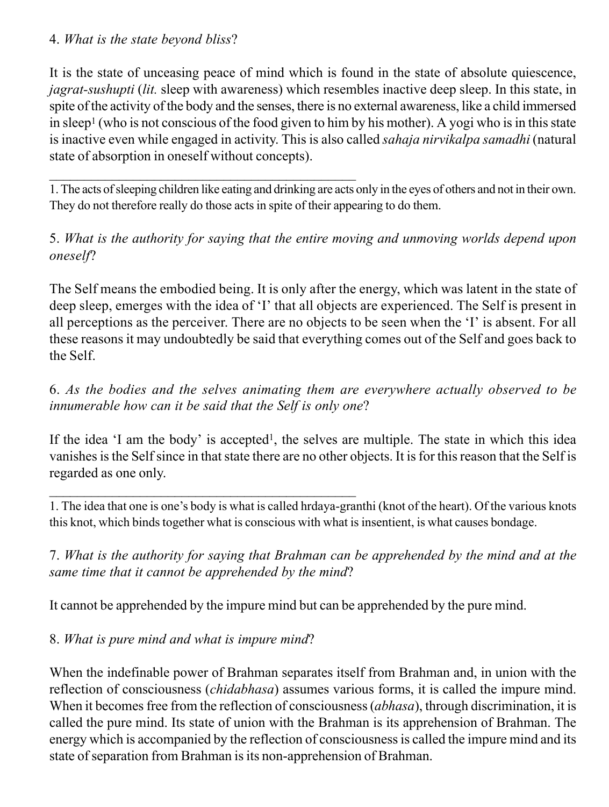#### 4. *What is the state beyond bliss*?

 $\mathcal{L}_\text{max}$  , and the set of the set of the set of the set of the set of the set of the set of the set of the set of the set of the set of the set of the set of the set of the set of the set of the set of the set of the

It is the state of unceasing peace of mind which is found in the state of absolute quiescence, *jagrat-sushupti* (*lit.* sleep with awareness) which resembles inactive deep sleep. In this state, in spite of the activity of the body and the senses, there is no external awareness, like a child immersed in sleep1 (who is not conscious of the food given to him by his mother). A yogi who is in this state is inactive even while engaged in activity. This is also called *sahaja nirvikalpa samadhi* (natural state of absorption in oneself without concepts).

1. The acts of sleeping children like eating and drinking are acts only in the eyes of others and not in their own. They do not therefore really do those acts in spite of their appearing to do them.

## 5. *What is the authority for saying that the entire moving and unmoving worlds depend upon oneself*?

The Self means the embodied being. It is only after the energy, which was latent in the state of deep sleep, emerges with the idea of 'I' that all objects are experienced. The Self is present in all perceptions as the perceiver. There are no objects to be seen when the 'I' is absent. For all these reasons it may undoubtedly be said that everything comes out of the Self and goes back to the Self.

# 6. *As the bodies and the selves animating them are everywhere actually observed to be innumerable how can it be said that the Self is only one*?

If the idea 'I am the body' is accepted<sup>1</sup>, the selves are multiple. The state in which this idea vanishes is the Self since in that state there are no other objects. It is for this reason that the Self is regarded as one only.

1. The idea that one is one's body is what is called hrdaya-granthi (knot of the heart). Of the various knots this knot, which binds together what is conscious with what is insentient, is what causes bondage.

7. *What is the authority for saying that Brahman can be apprehended by the mind and at the same time that it cannot be apprehended by the mind*?

It cannot be apprehended by the impure mind but can be apprehended by the pure mind.

8. *What is pure mind and what is impure mind*?

 $\mathcal{L}_\text{max}$  and the contract of the contract of the contract of the contract of the contract of the contract of the contract of the contract of the contract of the contract of the contract of the contract of the contrac

When the indefinable power of Brahman separates itself from Brahman and, in union with the reflection of consciousness (*chidabhasa*) assumes various forms, it is called the impure mind. When it becomes free from the reflection of consciousness (*abhasa*), through discrimination, it is called the pure mind. Its state of union with the Brahman is its apprehension of Brahman. The energy which is accompanied by the reflection of consciousness is called the impure mind and its state of separation from Brahman is its non-apprehension of Brahman.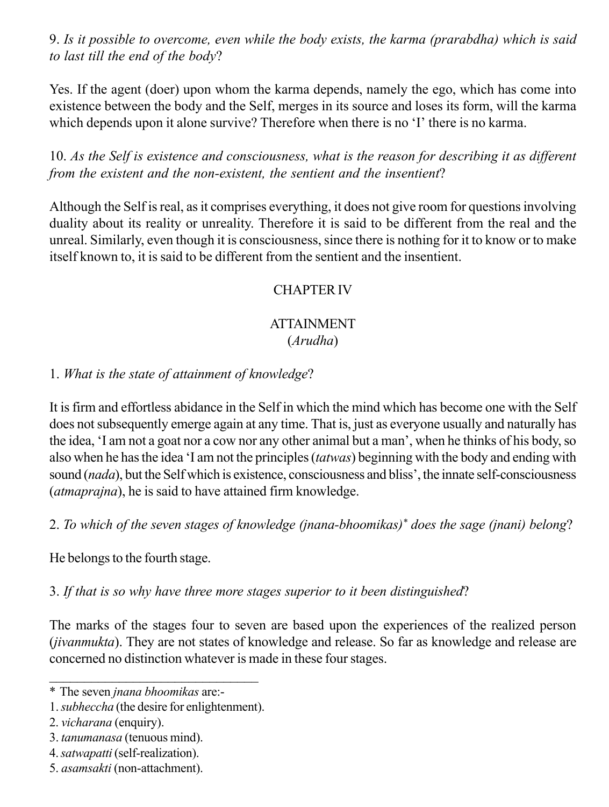9. *Is it possible to overcome, even while the body exists, the karma (prarabdha) which is said to last till the end of the body*?

Yes. If the agent (doer) upon whom the karma depends, namely the ego, which has come into existence between the body and the Self, merges in its source and loses its form, will the karma which depends upon it alone survive? Therefore when there is no 'I' there is no karma.

10. *As the Self is existence and consciousness, what is the reason for describing it as different from the existent and the non-existent, the sentient and the insentient*?

Although the Self is real, as it comprises everything, it does not give room for questions involving duality about its reality or unreality. Therefore it is said to be different from the real and the unreal. Similarly, even though it is consciousness, since there is nothing for it to know or to make itself known to, it is said to be different from the sentient and the insentient.

## CHAPTER IV

#### ATTAINMENT (*Arudha*)

## 1. *What is the state of attainment of knowledge*?

It is firm and effortless abidance in the Self in which the mind which has become one with the Self does not subsequently emerge again at any time. That is, just as everyone usually and naturally has the idea, 'I am not a goat nor a cow nor any other animal but a man', when he thinks of his body, so also when he has the idea 'I am not the principles (*tatwas*) beginning with the body and ending with sound (*nada*), but the Self which is existence, consciousness and bliss', the innate self-consciousness (*atmaprajna*), he is said to have attained firm knowledge.

2. *To which of the seven stages of knowledge (jnana-bhoomikas)\* does the sage (jnani) belong*?

He belongs to the fourth stage.

3. *If that is so why have three more stages superior to it been distinguished*?

The marks of the stages four to seven are based upon the experiences of the realized person (*jivanmukta*). They are not states of knowledge and release. So far as knowledge and release are concerned no distinction whatever is made in these four stages.

 $\mathcal{L}_\text{max}$  , where  $\mathcal{L}_\text{max}$  and  $\mathcal{L}_\text{max}$  and  $\mathcal{L}_\text{max}$ 

<sup>\*</sup> The seven *jnana bhoomikas* are:-

<sup>1.</sup> *subheccha* (the desire for enlightenment).

<sup>2.</sup> *vicharana* (enquiry).

<sup>3.</sup> *tanumanasa* (tenuous mind).

<sup>4.</sup> *satwapatti* (self-realization).

<sup>5.</sup> *asamsakti* (non-attachment).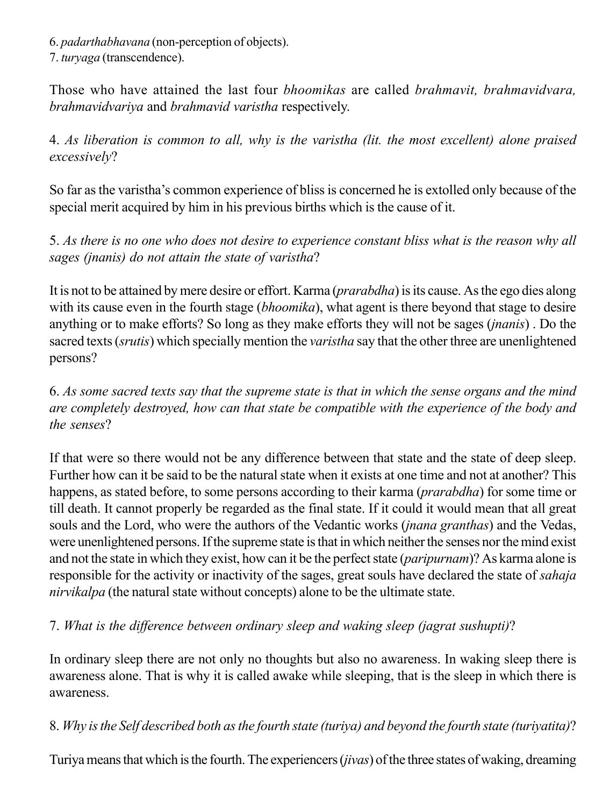6. *padarthabhavana* (non-perception of objects). 7. *turyaga* (transcendence).

Those who have attained the last four *bhoomikas* are called *brahmavit, brahmavidvara, brahmavidvariya* and *brahmavid varistha* respectively.

4. *As liberation is common to all, why is the varistha (lit. the most excellent) alone praised excessively*?

So far as the varistha's common experience of bliss is concerned he is extolled only because of the special merit acquired by him in his previous births which is the cause of it.

5. *As there is no one who does not desire to experience constant bliss what is the reason why all sages (jnanis) do not attain the state of varistha*?

It is not to be attained by mere desire or effort. Karma (*prarabdha*) is its cause. As the ego dies along with its cause even in the fourth stage (*bhoomika*), what agent is there beyond that stage to desire anything or to make efforts? So long as they make efforts they will not be sages (*jnanis*) . Do the sacred texts (*srutis*) which specially mention the *varistha* say that the other three are unenlightened persons?

6. *As some sacred texts say that the supreme state is that in which the sense organs and the mind are completely destroyed, how can that state be compatible with the experience of the body and the senses*?

If that were so there would not be any difference between that state and the state of deep sleep. Further how can it be said to be the natural state when it exists at one time and not at another? This happens, as stated before, to some persons according to their karma (*prarabdha*) for some time or till death. It cannot properly be regarded as the final state. If it could it would mean that all great souls and the Lord, who were the authors of the Vedantic works (*jnana granthas*) and the Vedas, were unenlightened persons. If the supreme state is that in which neither the senses nor the mind exist and not the state in which they exist, how can it be the perfect state (*paripurnam*)? As karma alone is responsible for the activity or inactivity of the sages, great souls have declared the state of *sahaja nirvikalpa* (the natural state without concepts) alone to be the ultimate state.

7. *What is the difference between ordinary sleep and waking sleep (jagrat sushupti)*?

In ordinary sleep there are not only no thoughts but also no awareness. In waking sleep there is awareness alone. That is why it is called awake while sleeping, that is the sleep in which there is awareness.

8. *Why is the Self described both as the fourth state (turiya) and beyond the fourth state (turiyatita)*?

Turiya means that which is the fourth. The experiencers (*jivas*) of the three states of waking, dreaming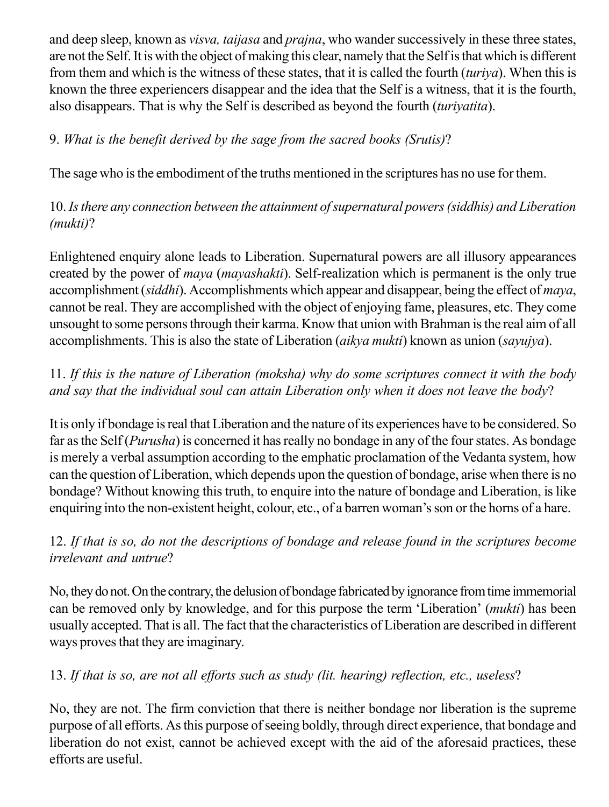and deep sleep, known as *visva, taijasa* and *prajna*, who wander successively in these three states, are not the Self. It is with the object of making this clear, namely that the Self is that which is different from them and which is the witness of these states, that it is called the fourth (*turiya*). When this is known the three experiencers disappear and the idea that the Self is a witness, that it is the fourth, also disappears. That is why the Self is described as beyond the fourth (*turiyatita*).

# 9. *What is the benefit derived by the sage from the sacred books (Srutis)*?

The sage who is the embodiment of the truths mentioned in the scriptures has no use for them.

# 10. *Is there any connection between the attainment of supernatural powers (siddhis) and Liberation (mukti)*?

Enlightened enquiry alone leads to Liberation. Supernatural powers are all illusory appearances created by the power of *maya* (*mayashakti*). Self-realization which is permanent is the only true accomplishment (*siddhi*). Accomplishments which appear and disappear, being the effect of *maya*, cannot be real. They are accomplished with the object of enjoying fame, pleasures, etc. They come unsought to some persons through their karma. Know that union with Brahman is the real aim of all accomplishments. This is also the state of Liberation (*aikya mukti*) known as union (*sayujya*).

# 11. *If this is the nature of Liberation (moksha) why do some scriptures connect it with the body and say that the individual soul can attain Liberation only when it does not leave the body*?

It is only if bondage is real that Liberation and the nature of its experiences have to be considered. So far as the Self (*Purusha*) is concerned it has really no bondage in any of the four states. As bondage is merely a verbal assumption according to the emphatic proclamation of the Vedanta system, how can the question of Liberation, which depends upon the question of bondage, arise when there is no bondage? Without knowing this truth, to enquire into the nature of bondage and Liberation, is like enquiring into the non-existent height, colour, etc., of a barren woman's son or the horns of a hare.

# 12. *If that is so, do not the descriptions of bondage and release found in the scriptures become irrelevant and untrue*?

No, they do not. On the contrary, the delusion of bondage fabricated by ignorance from time immemorial can be removed only by knowledge, and for this purpose the term 'Liberation' (*mukti*) has been usually accepted. That is all. The fact that the characteristics of Liberation are described in different ways proves that they are imaginary.

# 13. *If that is so, are not all efforts such as study (lit. hearing) reflection, etc., useless*?

No, they are not. The firm conviction that there is neither bondage nor liberation is the supreme purpose of all efforts. As this purpose of seeing boldly, through direct experience, that bondage and liberation do not exist, cannot be achieved except with the aid of the aforesaid practices, these efforts are useful.